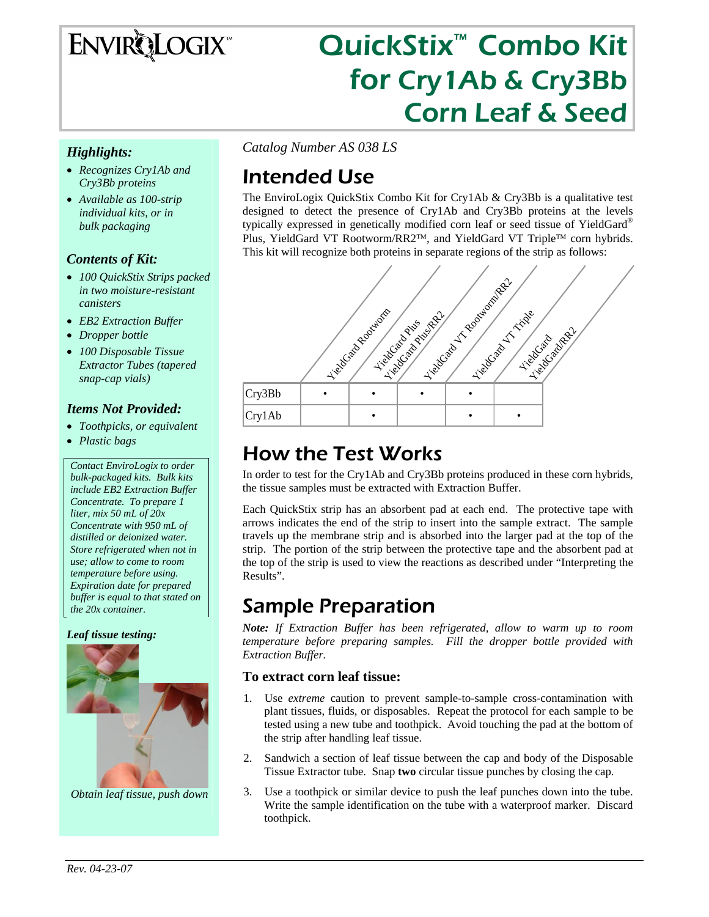# ENVIRQLOGIX

# QuickStix™ Combo Kit for Cry1Ab & Cry3Bb Corn Leaf & Seed

#### *Highlights:*

- *Recognizes Cry1Ab and Cry3Bb proteins*
- *Available as 100-strip individual kits, or in bulk packaging*

#### *Contents of Kit:*

- *100 QuickStix Strips packed in two moisture-resistant canisters*
- *EB2 Extraction Buffer*
- *Dropper bottle*
- *100 Disposable Tissue Extractor Tubes (tapered snap-cap vials)*

#### *Items Not Provided:*

- *Toothpicks, or equivalent*
- *Plastic bags*

*Contact EnviroLogix to order bulk-packaged kits. Bulk kits include EB2 Extraction Buffer Concentrate. To prepare 1 liter, mix 50 mL of 20x Concentrate with 950 mL of distilled or deionized water. Store refrigerated when not in use; allow to come to room temperature before using. Expiration date for prepared buffer is equal to that stated on the 20x container.* 

#### *Leaf tissue testing:*



*Obtain leaf tissue, push down* 

*Catalog Number AS 038 LS* 

## Intended Use

The EnviroLogix QuickStix Combo Kit for Cry1Ab & Cry3Bb is a qualitative test designed to detect the presence of Cry1Ab and Cry3Bb proteins at the levels typically expressed in genetically modified corn leaf or seed tissue of YieldGard® Plus, YieldGard VT Rootworm/RR2™, and YieldGard VT Triple™ corn hybrids. This kit will recognize both proteins in separate regions of the strip as follows:



## How the Test Works

In order to test for the Cry1Ab and Cry3Bb proteins produced in these corn hybrids, the tissue samples must be extracted with Extraction Buffer.

Each QuickStix strip has an absorbent pad at each end. The protective tape with arrows indicates the end of the strip to insert into the sample extract. The sample travels up the membrane strip and is absorbed into the larger pad at the top of the strip. The portion of the strip between the protective tape and the absorbent pad at the top of the strip is used to view the reactions as described under "Interpreting the Results".

### Sample Preparation

*Note: If Extraction Buffer has been refrigerated, allow to warm up to room temperature before preparing samples. Fill the dropper bottle provided with Extraction Buffer.*

#### **To extract corn leaf tissue:**

- 1. Use *extreme* caution to prevent sample-to-sample cross-contamination with plant tissues, fluids, or disposables. Repeat the protocol for each sample to be tested using a new tube and toothpick. Avoid touching the pad at the bottom of the strip after handling leaf tissue.
- 2. Sandwich a section of leaf tissue between the cap and body of the Disposable Tissue Extractor tube. Snap **two** circular tissue punches by closing the cap.
- 3. Use a toothpick or similar device to push the leaf punches down into the tube. Write the sample identification on the tube with a waterproof marker. Discard toothpick.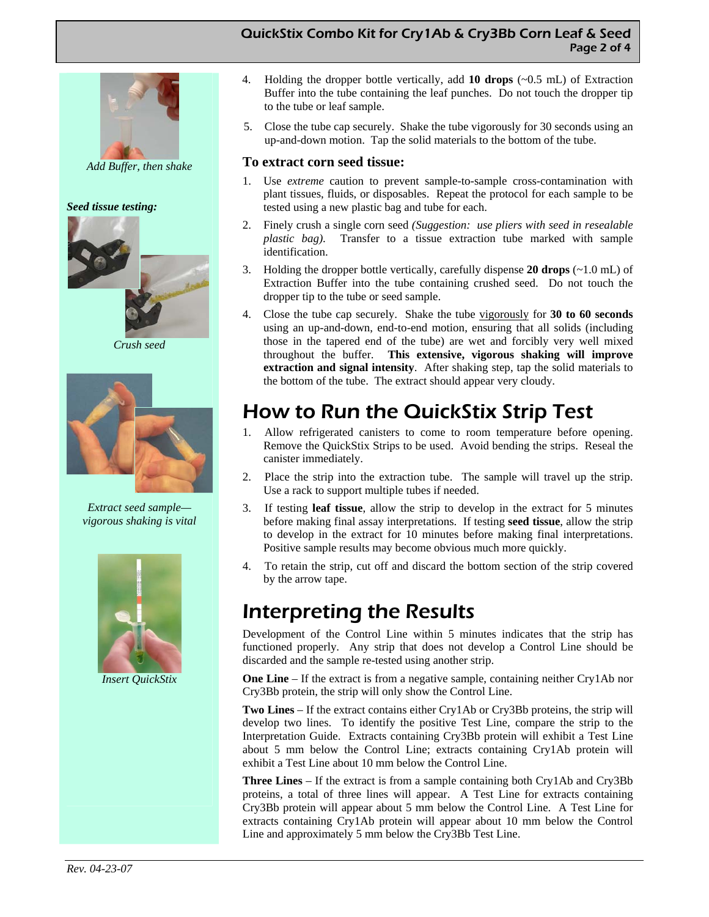#### QuickStix Combo Kit for Cry1Ab & Cry3Bb Corn Leaf & Seed Page 2 of 4



*Add Buffer, then shake* 

#### *Seed tissue testing:*



 *Crush seed* 



*Extract seed sample vigorous shaking is vital* 



*Insert QuickStix* 

- 4. Holding the dropper bottle vertically, add **10 drops** (~0.5 mL) of Extraction Buffer into the tube containing the leaf punches. Do not touch the dropper tip to the tube or leaf sample.
- 5. Close the tube cap securely. Shake the tube vigorously for 30 seconds using an up-and-down motion. Tap the solid materials to the bottom of the tube.

#### **To extract corn seed tissue:**

- 1. Use *extreme* caution to prevent sample-to-sample cross-contamination with plant tissues, fluids, or disposables. Repeat the protocol for each sample to be tested using a new plastic bag and tube for each.
- 2. Finely crush a single corn seed *(Suggestion: use pliers with seed in resealable plastic bag)*. Transfer to a tissue extraction tube marked with sample identification.
- 3. Holding the dropper bottle vertically, carefully dispense **20 drops** (~1.0 mL) of Extraction Buffer into the tube containing crushed seed. Do not touch the dropper tip to the tube or seed sample.
- 4. Close the tube cap securely. Shake the tube vigorously for **30 to 60 seconds**  using an up-and-down, end-to-end motion, ensuring that all solids (including those in the tapered end of the tube) are wet and forcibly very well mixed throughout the buffer. **This extensive, vigorous shaking will improve extraction and signal intensity**. After shaking step, tap the solid materials to the bottom of the tube. The extract should appear very cloudy.

## How to Run the QuickStix Strip Test

- 1. Allow refrigerated canisters to come to room temperature before opening. Remove the QuickStix Strips to be used. Avoid bending the strips. Reseal the canister immediately.
- 2. Place the strip into the extraction tube. The sample will travel up the strip. Use a rack to support multiple tubes if needed.
- 3. If testing **leaf tissue**, allow the strip to develop in the extract for 5 minutes before making final assay interpretations. If testing **seed tissue**, allow the strip to develop in the extract for 10 minutes before making final interpretations. Positive sample results may become obvious much more quickly.
- 4. To retain the strip, cut off and discard the bottom section of the strip covered by the arrow tape.

### Interpreting the Results

Development of the Control Line within 5 minutes indicates that the strip has functioned properly. Any strip that does not develop a Control Line should be discarded and the sample re-tested using another strip.

**One Line** – If the extract is from a negative sample, containing neither Cry1Ab nor Cry3Bb protein, the strip will only show the Control Line.

**Two Lines** – If the extract contains either Cry1Ab or Cry3Bb proteins, the strip will develop two lines. To identify the positive Test Line, compare the strip to the Interpretation Guide. Extracts containing Cry3Bb protein will exhibit a Test Line about 5 mm below the Control Line; extracts containing Cry1Ab protein will exhibit a Test Line about 10 mm below the Control Line.

**Three Lines** – If the extract is from a sample containing both Cry1Ab and Cry3Bb proteins, a total of three lines will appear. A Test Line for extracts containing Cry3Bb protein will appear about 5 mm below the Control Line. A Test Line for extracts containing Cry1Ab protein will appear about 10 mm below the Control Line and approximately 5 mm below the Cry3Bb Test Line.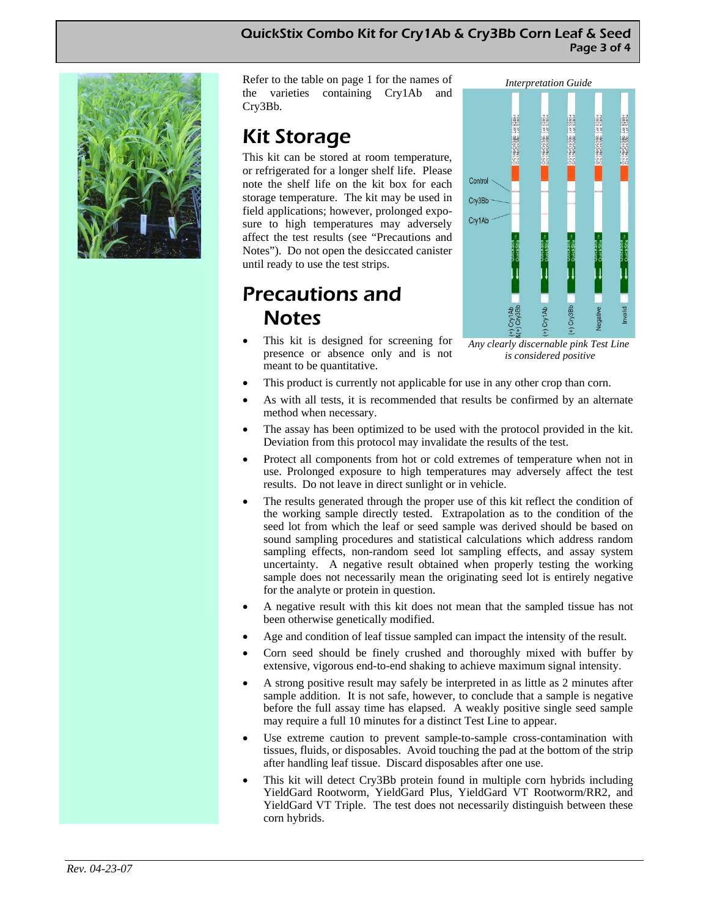#### QuickStix Combo Kit for Cry1Ab & Cry3Bb Corn Leaf & Seed Page 3 of 4



Refer to the table on page 1 for the names of the varieties containing Cry1Ab and Cry3Bb.

## Kit Storage

This kit can be stored at room temperature, or refrigerated for a longer shelf life. Please note the shelf life on the kit box for each storage temperature. The kit may be used in field applications; however, prolonged exposure to high temperatures may adversely affect the test results (see "Precautions and Notes"). Do not open the desiccated canister until ready to use the test strips.

### Precautions and Notes

• This kit is designed for screening for presence or absence only and is not meant to be quantitative.



*Any clearly discernable pink Test Line is considered positive*

- This product is currently not applicable for use in any other crop than corn.
- As with all tests, it is recommended that results be confirmed by an alternate method when necessary.
- The assay has been optimized to be used with the protocol provided in the kit. Deviation from this protocol may invalidate the results of the test.
- Protect all components from hot or cold extremes of temperature when not in use. Prolonged exposure to high temperatures may adversely affect the test results. Do not leave in direct sunlight or in vehicle.
- The results generated through the proper use of this kit reflect the condition of the working sample directly tested. Extrapolation as to the condition of the seed lot from which the leaf or seed sample was derived should be based on sound sampling procedures and statistical calculations which address random sampling effects, non-random seed lot sampling effects, and assay system uncertainty. A negative result obtained when properly testing the working sample does not necessarily mean the originating seed lot is entirely negative for the analyte or protein in question.
- A negative result with this kit does not mean that the sampled tissue has not been otherwise genetically modified.
- Age and condition of leaf tissue sampled can impact the intensity of the result.
- Corn seed should be finely crushed and thoroughly mixed with buffer by extensive, vigorous end-to-end shaking to achieve maximum signal intensity.
- A strong positive result may safely be interpreted in as little as 2 minutes after sample addition. It is not safe, however, to conclude that a sample is negative before the full assay time has elapsed. A weakly positive single seed sample may require a full 10 minutes for a distinct Test Line to appear.
- Use extreme caution to prevent sample-to-sample cross-contamination with tissues, fluids, or disposables. Avoid touching the pad at the bottom of the strip after handling leaf tissue. Discard disposables after one use.
- This kit will detect Cry3Bb protein found in multiple corn hybrids including YieldGard Rootworm, YieldGard Plus, YieldGard VT Rootworm/RR2, and YieldGard VT Triple. The test does not necessarily distinguish between these corn hybrids.